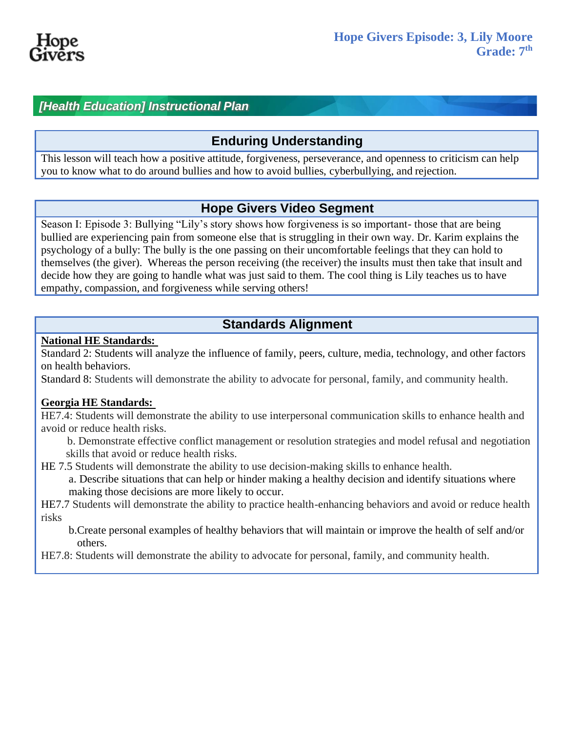

## *[Health Education] Instructional Plan*

## **Enduring Understanding**

This lesson will teach how a positive attitude, forgiveness, perseverance, and openness to criticism can help you to know what to do around bullies and how to avoid bullies, cyberbullying, and rejection.

## **Hope Givers Video Segment**

Season I: Episode 3: Bullying "Lily's story shows how forgiveness is so important- those that are being bullied are experiencing pain from someone else that is struggling in their own way. Dr. Karim explains the psychology of a bully: The bully is the one passing on their uncomfortable feelings that they can hold to themselves (the giver). Whereas the person receiving (the receiver) the insults must then take that insult and decide how they are going to handle what was just said to them. The cool thing is Lily teaches us to have empathy, compassion, and forgiveness while serving others!

## **Standards Alignment**

#### **National HE Standards:**

Standard 2: Students will analyze the influence of family, peers, culture, media, technology, and other factors on health behaviors.

Standard 8: Students will demonstrate the ability to advocate for personal, family, and community health.

#### **Georgia HE Standards:**

HE7.4: Students will demonstrate the ability to use interpersonal communication skills to enhance health and avoid or reduce health risks.

b. Demonstrate effective conflict management or resolution strategies and model refusal and negotiation skills that avoid or reduce health risks.

HE 7.5 Students will demonstrate the ability to use decision-making skills to enhance health.

a. Describe situations that can help or hinder making a healthy decision and identify situations where making those decisions are more likely to occur.

HE7.7 Students will demonstrate the ability to practice health-enhancing behaviors and avoid or reduce health risks

b.Create personal examples of healthy behaviors that will maintain or improve the health of self and/or others.

HE7.8: Students will demonstrate the ability to advocate for personal, family, and community health.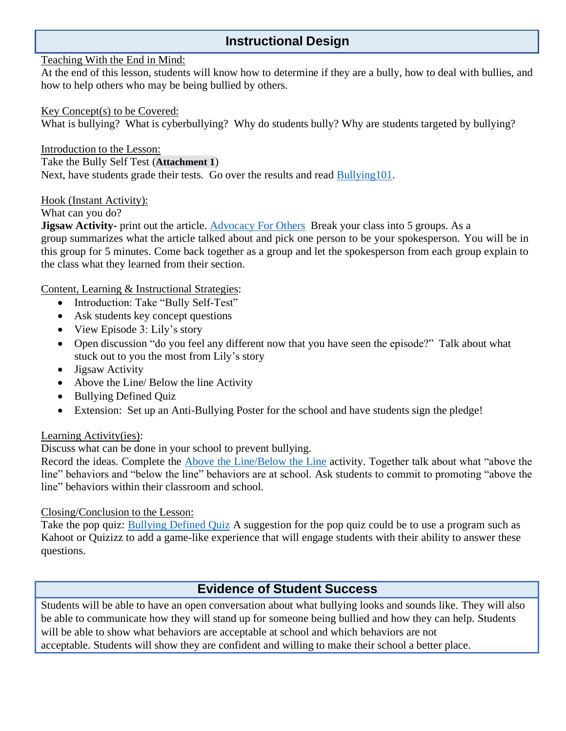## **Instructional Design**

#### Teaching With the End in Mind:

At the end of this lesson, students will know how to determine if they are a bully, how to deal with bullies, and how to help others who may be being bullied by others.

#### Key Concept(s) to be Covered:

What is bullying? What is cyberbullying? Why do students bully? Why are students targeted by bullying?

Introduction to the Lesson: Take the Bully Self Test (**Attachment 1**) Next, have students grade their tests. Go over the results and read [Bullying101.](https://pacerteensagainstbullying.org/wp-content/uploads/2015/06/bullying-101-tab-2021.pdf)

Hook (Instant Activity):

What can you do?

**Jigsaw Activity-** print out the article. [Advocacy](https://pacerteensagainstbullying.org/advocacy-for-others/) For Others Break your class into 5 groups. As a group summarizes what the article talked about and pick one person to be your spokesperson. You will be in this group for 5 minutes. Come back together as a group and let the spokesperson from each group explain to the class what they learned from their section.

Content, Learning & Instructional Strategies:

- Introduction: Take "Bully Self-Test"
- Ask students key concept questions
- View Episode 3: Lily's story
- Open discussion "do you feel any different now that you have seen the episode?" Talk about what stuck out to you the most from Lily's story
- Jigsaw Activity
- Above the Line/ Below the line Activity
- Bullying Defined Quiz
- Extension: Set up an Anti-Bullying Poster for the school and have students sign the pledge!

#### Learning Activity(ies):

Discuss what can be done in your school to prevent bullying.

Record the ideas. Complete the [Above the Line/Below the Line](https://www.pacer.org/bullying/classroom/elementary/activities/pdf/above-below-the-line.pdf) activity. Together talk about what "above the line" behaviors and "below the line" behaviors are at school. Ask students to commit to promoting "above the line" behaviors within their classroom and school.

Closing/Conclusion to the Lesson:

Take the pop quiz: [Bullying Defined Quiz](https://pacerteensagainstbullying.org/wp-content/uploads/2015/06/bullying-101-quiz.pdf) A suggestion for the pop quiz could be to use a program such as Kahoot or Quizizz to add a game-like experience that will engage students with their ability to answer these questions.

## **Evidence of Student Success**

Students will be able to have an open conversation about what bullying looks and sounds like. They will also be able to communicate how they will stand up for someone being bullied and how they can help. Students will be able to show what behaviors are acceptable at school and which behaviors are not acceptable. Students will show they are confident and willing to make their school a better place.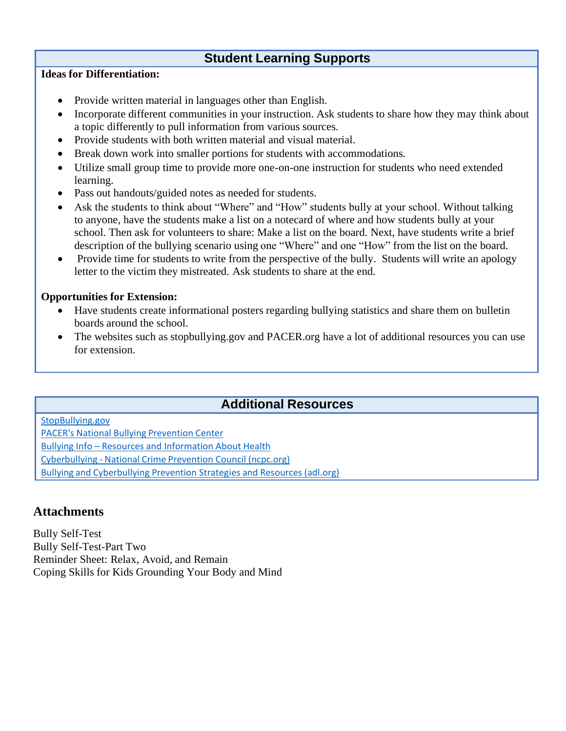## **Student Learning Supports**

#### **Ideas for Differentiation:**

- Provide written material in languages other than English.
- Incorporate different communities in your instruction. Ask students to share how they may think about a topic differently to pull information from various sources.
- Provide students with both written material and visual material.
- Break down work into smaller portions for students with accommodations.
- Utilize small group time to provide more one-on-one instruction for students who need extended learning.
- Pass out handouts/guided notes as needed for students.
- Ask the students to think about "Where" and "How" students bully at your school. Without talking to anyone, have the students make a list on a notecard of where and how students bully at your school. Then ask for volunteers to share: Make a list on the board. Next, have students write a brief description of the bullying scenario using one "Where" and one "How" from the list on the board.
- Provide time for students to write from the perspective of the bully. Students will write an apology letter to the victim they mistreated. Ask students to share at the end.

#### **Opportunities for Extension:**

- Have students create informational posters regarding bullying statistics and share them on bulletin boards around the school.
- The websites such as stopbullying.gov and PACER.org have a lot of additional resources you can use for extension.

## **Additional Resources**

[StopBullying.gov](https://www.stopbullying.gov/) PACER's National Bullying [Prevention](https://www.pacer.org/bullying/?gclid=EAIaIQobChMIlM_SjeeF8gIVkG1vBB07qAFSEAAYASAAEgJZYvD_BwE) Center Bullying Info – [Resources and Information About Health](https://www.bullyinginfo.org/) [Cyberbullying](https://www.ncpc.org/resources/cyberbullying/) - National Crime Prevention Council (ncpc.org) Bullying and [Cyberbullying](https://www.adl.org/education/resources/tools-and-strategies/bullying-and-cyberbullying-prevention-strategies) Prevention Strategies and Resources (adl.org)

### **Attachments**

Bully Self-Test Bully Self-Test-Part Two Reminder Sheet: Relax, Avoid, and Remain Coping Skills for Kids Grounding Your Body and Mind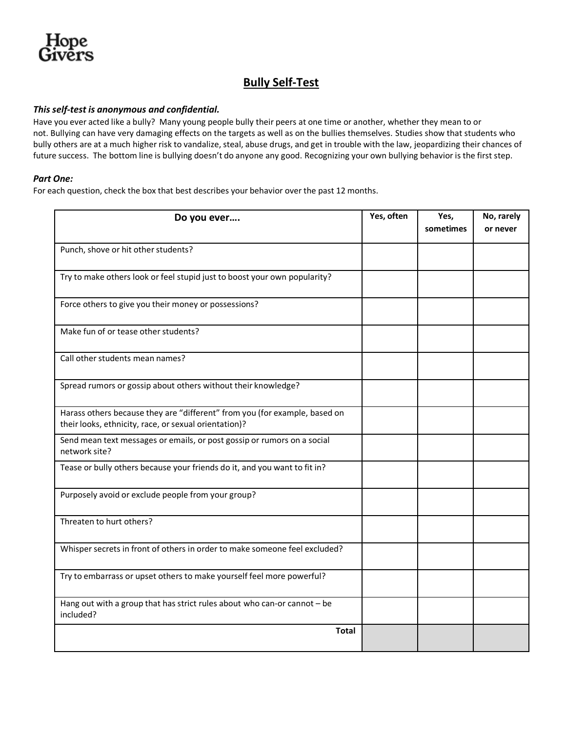### **Bully Self-Test**

#### *This self-test is anonymous and confidential.*

Have you ever acted like a bully? Many young people bully their peers at one time or another, whether they mean to or not. Bullying can have very damaging effects on the targets as well as on the bullies themselves. Studies show that students who bully others are at a much higher risk to vandalize, steal, abuse drugs, and get in trouble with the law, jeopardizing their chances of future success. The bottom line is bullying doesn't do anyone any good. Recognizing your own bullying behavior is the first step.

#### *Part One:*

For each question, check the box that best describes your behavior over the past 12 months.

| Do you ever                                                                                                                         | Yes, often | Yes,<br>sometimes | No, rarely<br>or never |
|-------------------------------------------------------------------------------------------------------------------------------------|------------|-------------------|------------------------|
|                                                                                                                                     |            |                   |                        |
| Punch, shove or hit other students?                                                                                                 |            |                   |                        |
| Try to make others look or feel stupid just to boost your own popularity?                                                           |            |                   |                        |
| Force others to give you their money or possessions?                                                                                |            |                   |                        |
| Make fun of or tease other students?                                                                                                |            |                   |                        |
| Call other students mean names?                                                                                                     |            |                   |                        |
| Spread rumors or gossip about others without their knowledge?                                                                       |            |                   |                        |
| Harass others because they are "different" from you (for example, based on<br>their looks, ethnicity, race, or sexual orientation)? |            |                   |                        |
| Send mean text messages or emails, or post gossip or rumors on a social<br>network site?                                            |            |                   |                        |
| Tease or bully others because your friends do it, and you want to fit in?                                                           |            |                   |                        |
| Purposely avoid or exclude people from your group?                                                                                  |            |                   |                        |
| Threaten to hurt others?                                                                                                            |            |                   |                        |
| Whisper secrets in front of others in order to make someone feel excluded?                                                          |            |                   |                        |
| Try to embarrass or upset others to make yourself feel more powerful?                                                               |            |                   |                        |
| Hang out with a group that has strict rules about who can-or cannot - be<br>included?                                               |            |                   |                        |
| <b>Total</b>                                                                                                                        |            |                   |                        |
|                                                                                                                                     |            |                   |                        |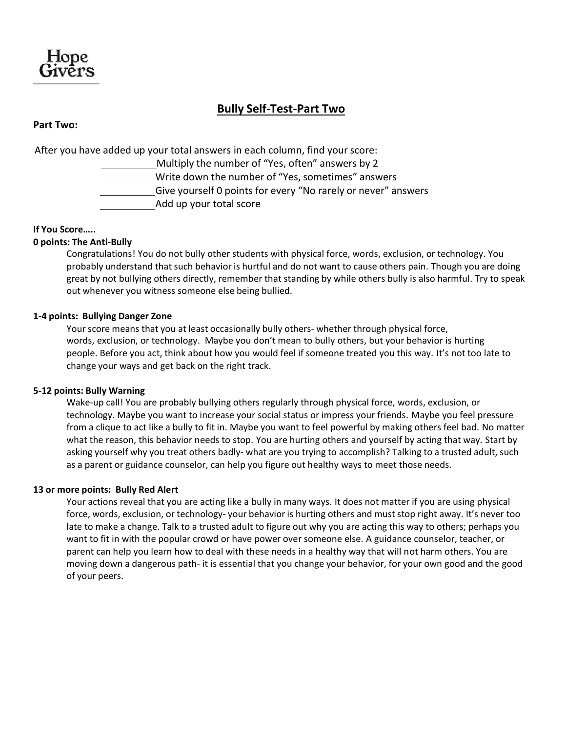

### **Bully Self-Test-Part Two**

#### **Part Two:**

After you have added up your total answers in each column, find your score: Multiply the number of "Yes, often" answers by 2 Write down the number of "Yes, sometimes" answers Give yourself 0 points for every "No rarely or never" answers Add up your total score

#### **If You Score…..**

#### **0 points: The Anti-Bully**

Congratulations! You do not bully other students with physical force, words, exclusion, or technology. You probably understand that such behavior is hurtful and do not want to cause others pain. Though you are doing great by not bullying others directly, remember that standing by while others bully is also harmful. Try to speak out whenever you witness someone else being bullied.

#### **1-4 points: Bullying Danger Zone**

Your score means that you at least occasionally bully others- whether through physical force, words, exclusion, or technology. Maybe you don't mean to bully others, but your behavior is hurting people. Before you act, think about how you would feel if someone treated you this way. It's not too late to change your ways and get back on the right track.

#### **5-12 points: Bully Warning**

Wake-up call! You are probably bullying others regularly through physical force, words, exclusion, or technology. Maybe you want to increase your social status or impress your friends. Maybe you feel pressure from a clique to act like a bully to fit in. Maybe you want to feel powerful by making others feel bad. No matter what the reason, this behavior needs to stop. You are hurting others and yourself by acting that way. Start by asking yourself why you treat others badly- what are you trying to accomplish? Talking to a trusted adult, such as a parent or guidance counselor, can help you figure out healthy ways to meet those needs.

#### **13 or more points: Bully Red Alert**

Your actions reveal that you are acting like a bully in many ways. It does not matter if you are using physical force, words, exclusion, or technology- your behavior is hurting others and muststop right away. It's never too late to make a change. Talk to a trusted adult to figure out why you are acting this way to others; perhaps you want to fit in with the popular crowd or have power over someone else. A guidance counselor, teacher, or parent can help you learn how to deal with these needs in a healthy way that will not harm others. You are moving down a dangerous path- it is essential that you change your behavior, for your own good and the good of your peers.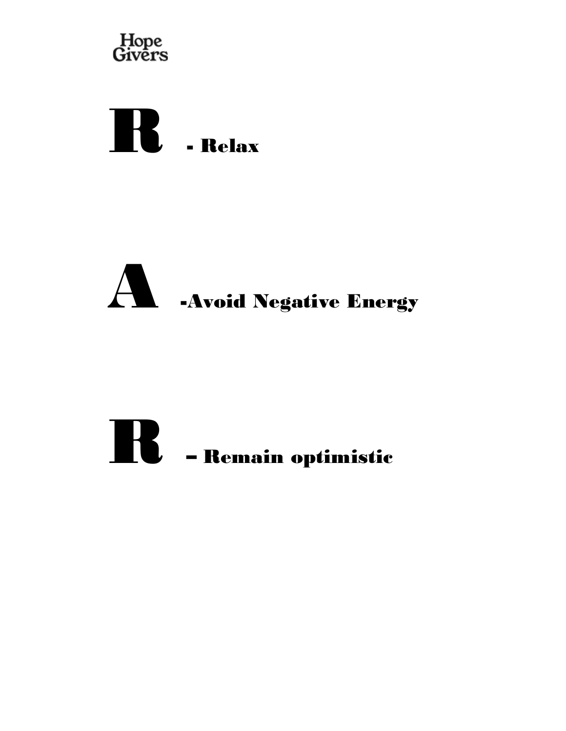





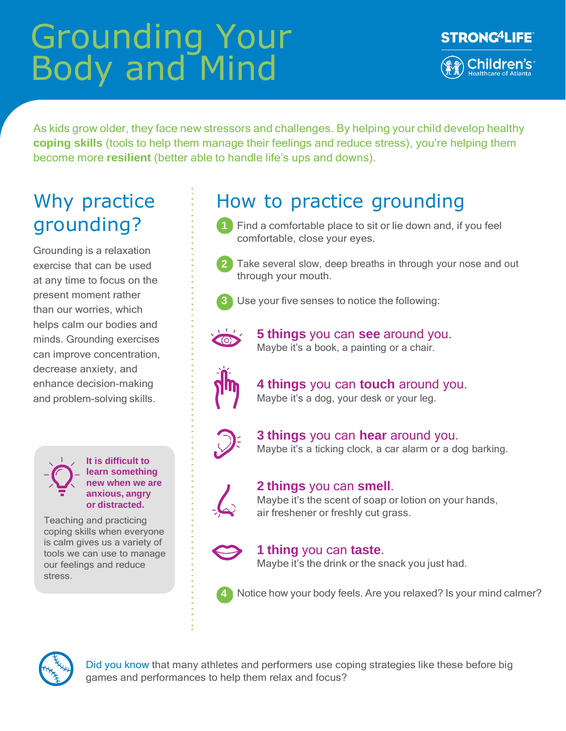# Grounding Your Body and Mind



As kids grow older, they face new stressors and challenges. By helping your child develop healthy **coping skills** (tools to help them manage their feelings and reduce stress), you're helping them become more **resilient** (better able to handle life's ups and downs).

## Why practice grounding?

Grounding is a relaxation exercise that can be used at any time to focus on the present moment rather than our worries, which helps calm our bodies and minds. Grounding exercises can improve concentration, decrease anxiety, and enhance decision-making and problem-solving skills.

**It is difficult to learn something new when we are anxious, angry or distracted.**

Teaching and practicing coping skills when everyone is calm gives us a variety of tools we can use to manage our feelings and reduce stress.

## How to practice grounding

- **1** Find a comfortable place to sit or lie down and, if you feel comfortable, close your eyes.
	- **2** Take several slow, deep breaths in through your nose and out through your mouth.
- 
- **3** Use your five senses to notice the following:



**5 things** you can **see** around you. Maybe it's a book, a painting or a chair.



**4 things** you can **touch** around you. Maybe it's a dog, your desk or your leg.



**3 things** you can **hear** around you. Maybe it's a ticking clock, a car alarm or a dog barking.



### **2 things** you can **smell**.

Maybe it's the scent of soap or lotion on your hands, air freshener or freshly cut grass.



## **1 thing** you can **taste**.

Maybe it's the drink or the snack you just had.



**4** Notice how your body feels. Are you relaxed? Is your mind calmer?



Did you know that many athletes and performers use coping strategies like these before big games and performances to help them relax and focus?